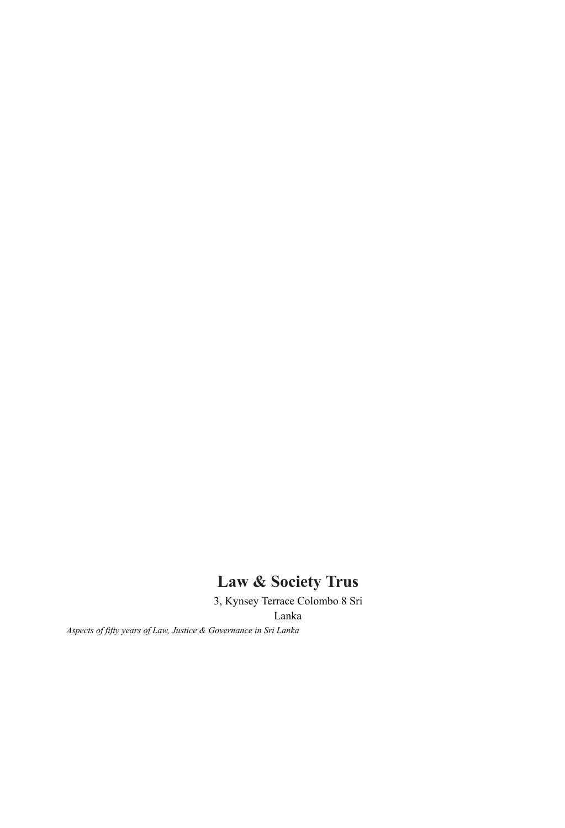# **Law & Society Trus**

3, Kynsey Terrace Colombo 8 Sri Lanka

*Aspects of fifty years of Law, Justice & Governance in Sri Lanka*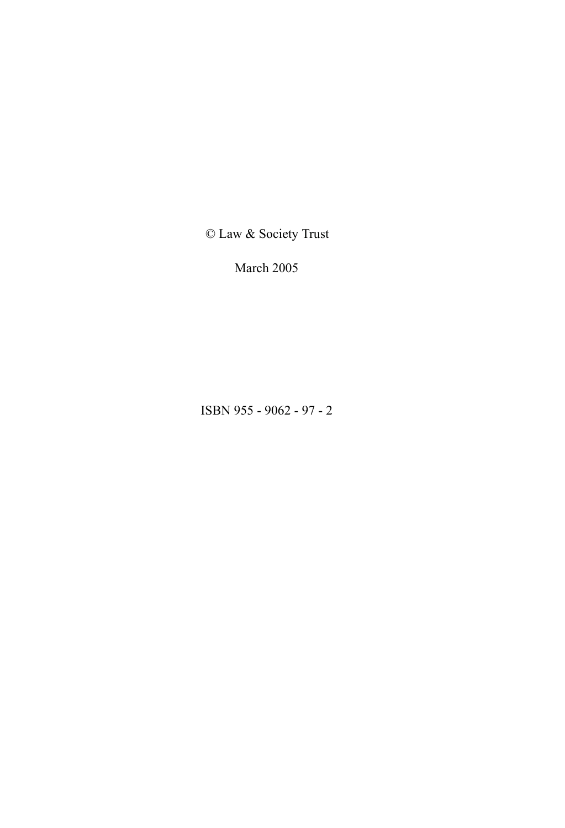© Law & Society Trust

March 2005

ISBN 955 - 9062 - 97 - 2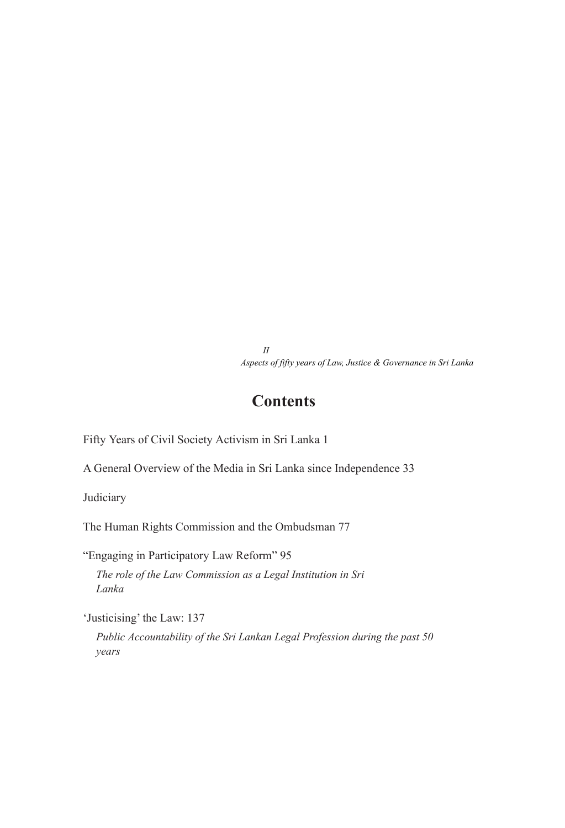*II Aspects of fifty years of Law, Justice & Governance in Sri Lanka*

# **Contents**

Fifty Years of Civil Society Activism in Sri Lanka 1

A General Overview of the Media in Sri Lanka since Independence 33

Judiciary

The Human Rights Commission and the Ombudsman 77

"Engaging in Participatory Law Reform" 95 *The role of the Law Commission as a Legal Institution in Sri Lanka*

'Justicising' the Law: 137

*Public Accountability of the Sri Lankan Legal Profession during the past 50 years*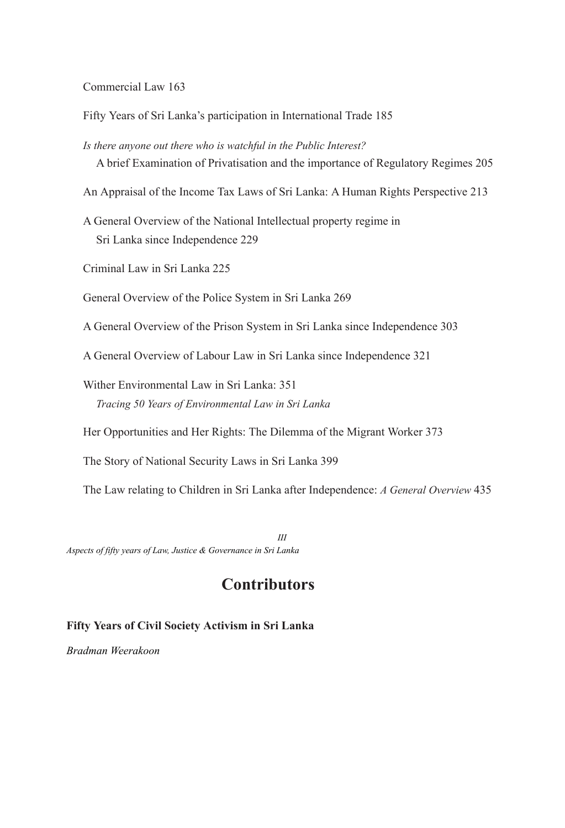Commercial Law 163

Fifty Years of Sri Lanka's participation in International Trade 185

*Is there anyone out there who is watchful in the Public Interest?* A brief Examination of Privatisation and the importance of Regulatory Regimes 205

An Appraisal of the Income Tax Laws of Sri Lanka: A Human Rights Perspective 213

- A General Overview of the National Intellectual property regime in Sri Lanka since Independence 229
- Criminal Law in Sri Lanka 225

General Overview of the Police System in Sri Lanka 269

A General Overview of the Prison System in Sri Lanka since Independence 303

A General Overview of Labour Law in Sri Lanka since Independence 321

Wither Environmental Law in Sri Lanka: 351 *Tracing 50 Years of Environmental Law in Sri Lanka*

Her Opportunities and Her Rights: The Dilemma of the Migrant Worker 373

The Story of National Security Laws in Sri Lanka 399

The Law relating to Children in Sri Lanka after Independence: *A General Overview* 435

*III Aspects of fifty years of Law, Justice & Governance in Sri Lanka*

# **Contributors**

# **Fifty Years of Civil Society Activism in Sri Lanka**

*Bradman Weerakoon*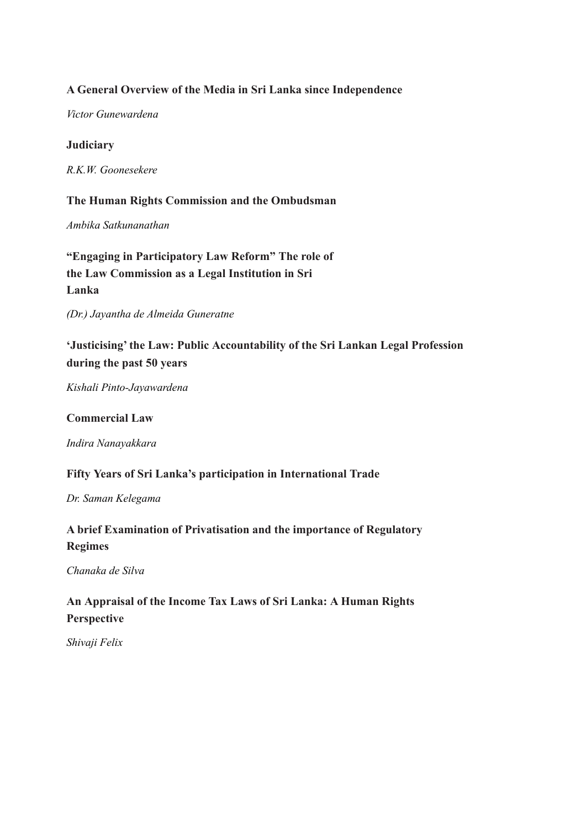# **A General Overview of the Media in Sri Lanka since Independence**

*Victor Gunewardena*

## **Judiciary**

*R.K.W. Goonesekere*

# **The Human Rights Commission and the Ombudsman**

*Ambika Satkunanathan*

**"Engaging in Participatory Law Reform" The role of the Law Commission as a Legal Institution in Sri Lanka**

*(Dr.) Jayantha de Almeida Guneratne*

**'Justicising' the Law: Public Accountability of the Sri Lankan Legal Profession during the past 50 years**

*Kishali Pinto-Jayawardena*

#### **Commercial Law**

*Indira Nanayakkara*

## **Fifty Years of Sri Lanka's participation in International Trade**

*Dr. Saman Kelegama*

# **A brief Examination of Privatisation and the importance of Regulatory Regimes**

#### *Chanaka de Silva*

# **An Appraisal of the Income Tax Laws of Sri Lanka: A Human Rights Perspective**

*Shivaji Felix*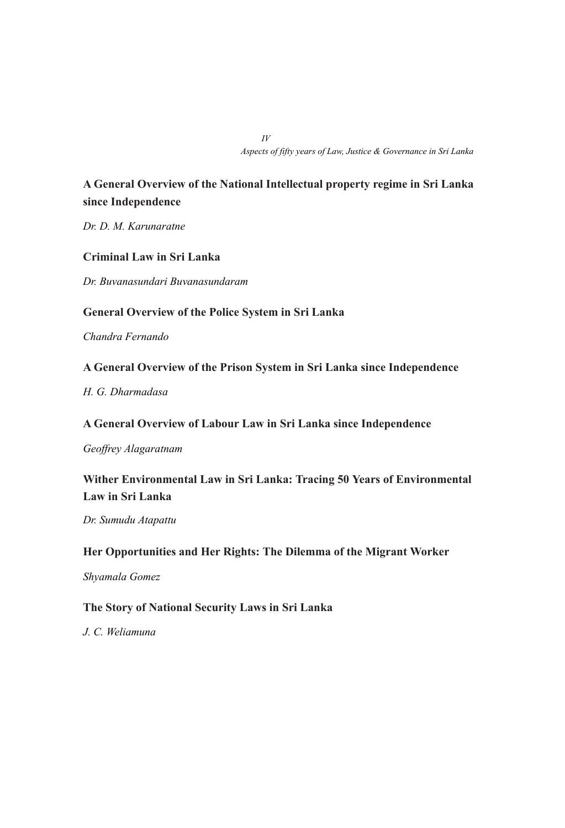*IV Aspects of fifty years of Law, Justice & Governance in Sri Lanka*

# **A General Overview of the National Intellectual property regime in Sri Lanka since Independence**

*Dr. D. M. Karunaratne*

## **Criminal Law in Sri Lanka**

*Dr. Buvanasundari Buvanasundaram*

## **General Overview of the Police System in Sri Lanka**

*Chandra Fernando*

### **A General Overview of the Prison System in Sri Lanka since Independence**

*H. G. Dharmadasa*

**A General Overview of Labour Law in Sri Lanka since Independence**

*Geoffrey Alagaratnam*

**Wither Environmental Law in Sri Lanka: Tracing 50 Years of Environmental Law in Sri Lanka**

*Dr. Sumudu Atapattu*

# **Her Opportunities and Her Rights: The Dilemma of the Migrant Worker**

*Shyamala Gomez*

# **The Story of National Security Laws in Sri Lanka**

#### *J. C. Weliamuna*